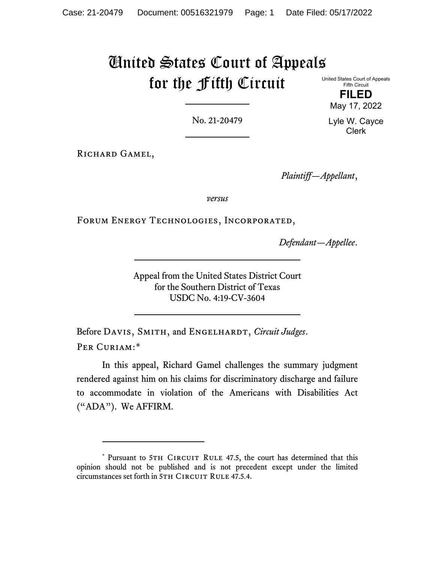# United States Court of Appeals for the Fifth Circuit

United States Court of Appeals Fifth Circuit

> **FILED** May 17, 2022

No. 21-20479

Lyle W. Cayce Clerk

RICHARD GAMEL,

*Plaintiff—Appellant*,

*versus*

Forum Energy Technologies, Incorporated,

*Defendant—Appellee*.

Appeal from the United States District Court for the Southern District of Texas USDC No. 4:19-CV-3604

Before DAVIS, SMITH, and ENGELHARDT, *Circuit Judges*. PER CURIAM:[\\*](#page-0-0)

In this appeal, Richard Gamel challenges the summary judgment rendered against him on his claims for discriminatory discharge and failure to accommodate in violation of the Americans with Disabilities Act ("ADA"). We AFFIRM.

<span id="page-0-0"></span><sup>\*</sup> Pursuant to 5TH CIRCUIT RULE 47.5, the court has determined that this opinion should not be published and is not precedent except under the limited circumstances set forth in 5TH CIRCUIT RULE 47.5.4.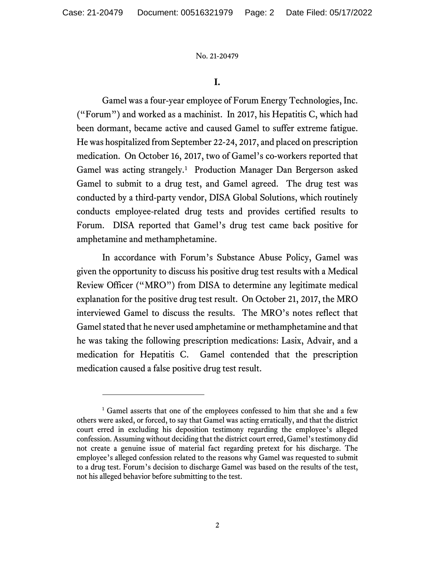## **I.**

Gamel was a four-year employee of Forum Energy Technologies, Inc. ("Forum") and worked as a machinist. In 2017, his Hepatitis C, which had been dormant, became active and caused Gamel to suffer extreme fatigue. He was hospitalized from September 22-24, 2017, and placed on prescription medication. On October 16, 2017, two of Gamel's co-workers reported that Gamel was acting strangely.<sup>[1](#page-1-0)</sup> Production Manager Dan Bergerson asked Gamel to submit to a drug test, and Gamel agreed. The drug test was conducted by a third-party vendor, DISA Global Solutions, which routinely conducts employee-related drug tests and provides certified results to Forum. DISA reported that Gamel's drug test came back positive for amphetamine and methamphetamine.

In accordance with Forum's Substance Abuse Policy, Gamel was given the opportunity to discuss his positive drug test results with a Medical Review Officer ("MRO") from DISA to determine any legitimate medical explanation for the positive drug test result. On October 21, 2017, the MRO interviewed Gamel to discuss the results. The MRO's notes reflect that Gamel stated that he never used amphetamine or methamphetamine and that he was taking the following prescription medications: Lasix, Advair, and a medication for Hepatitis C. Gamel contended that the prescription medication caused a false positive drug test result.

<span id="page-1-0"></span><sup>&</sup>lt;sup>1</sup> Gamel asserts that one of the employees confessed to him that she and a few others were asked, or forced, to say that Gamel was acting erratically, and that the district court erred in excluding his deposition testimony regarding the employee's alleged confession. Assuming without deciding that the district court erred, Gamel's testimony did not create a genuine issue of material fact regarding pretext for his discharge. The employee's alleged confession related to the reasons why Gamel was requested to submit to a drug test. Forum's decision to discharge Gamel was based on the results of the test, not his alleged behavior before submitting to the test.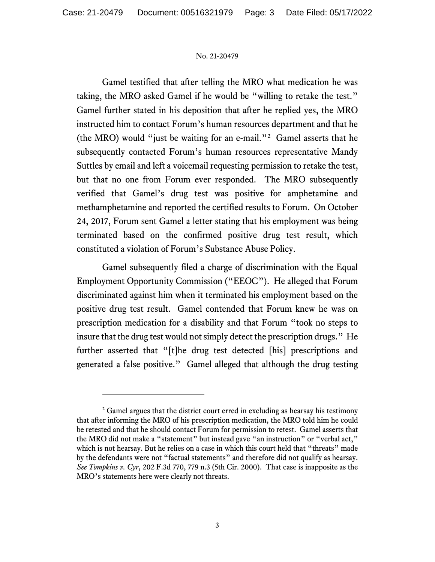Gamel testified that after telling the MRO what medication he was taking, the MRO asked Gamel if he would be "willing to retake the test." Gamel further stated in his deposition that after he replied yes, the MRO instructed him to contact Forum's human resources department and that he (the MRO) would "just be waiting for an e-mail."[2](#page-2-0) Gamel asserts that he subsequently contacted Forum's human resources representative Mandy Suttles by email and left a voicemail requesting permission to retake the test, but that no one from Forum ever responded. The MRO subsequently verified that Gamel's drug test was positive for amphetamine and methamphetamine and reported the certified results to Forum. On October 24, 2017, Forum sent Gamel a letter stating that his employment was being terminated based on the confirmed positive drug test result, which constituted a violation of Forum's Substance Abuse Policy.

Gamel subsequently filed a charge of discrimination with the Equal Employment Opportunity Commission ("EEOC"). He alleged that Forum discriminated against him when it terminated his employment based on the positive drug test result. Gamel contended that Forum knew he was on prescription medication for a disability and that Forum "took no steps to insure that the drug test would not simply detect the prescription drugs." He further asserted that "[t]he drug test detected [his] prescriptions and generated a false positive." Gamel alleged that although the drug testing

<span id="page-2-0"></span><sup>&</sup>lt;sup>2</sup> Gamel argues that the district court erred in excluding as hearsay his testimony that after informing the MRO of his prescription medication, the MRO told him he could be retested and that he should contact Forum for permission to retest. Gamel asserts that the MRO did not make a "statement" but instead gave "an instruction" or "verbal act," which is not hearsay. But he relies on a case in which this court held that "threats" made by the defendants were not "factual statements" and therefore did not qualify as hearsay. *See Tompkins v. Cyr*, 202 F.3d 770, 779 n.3 (5th Cir. 2000). That case is inapposite as the MRO's statements here were clearly not threats.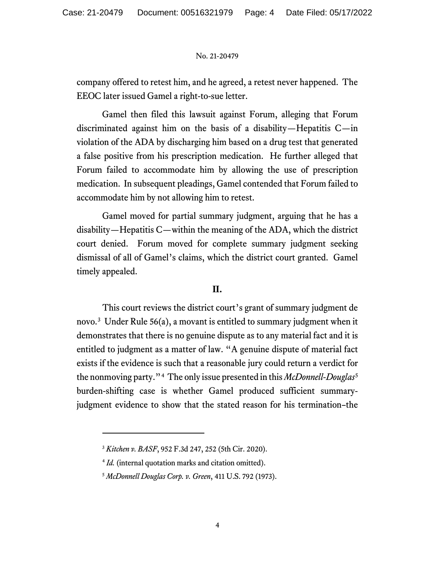company offered to retest him, and he agreed, a retest never happened. The EEOC later issued Gamel a right-to-sue letter.

Gamel then filed this lawsuit against Forum, alleging that Forum discriminated against him on the basis of a disability—Hepatitis C—in violation of the ADA by discharging him based on a drug test that generated a false positive from his prescription medication. He further alleged that Forum failed to accommodate him by allowing the use of prescription medication. In subsequent pleadings, Gamel contended that Forum failed to accommodate him by not allowing him to retest.

Gamel moved for partial summary judgment, arguing that he has a disability—Hepatitis C—within the meaning of the ADA, which the district court denied. Forum moved for complete summary judgment seeking dismissal of all of Gamel's claims, which the district court granted. Gamel timely appealed.

# **II.**

This court reviews the district court's grant of summary judgment de novo.[3](#page-3-0) Under Rule 56(a), a movant is entitled to summary judgment when it demonstrates that there is no genuine dispute as to any material fact and it is entitled to judgment as a matter of law. "A genuine dispute of material fact exists if the evidence is such that a reasonable jury could return a verdict for the nonmoving party."[4](#page-3-1) The only issue presented in this *McDonnell-Douglas*[5](#page-3-2) burden-shifting case is whether Gamel produced sufficient summaryjudgment evidence to show that the stated reason for his termination–the

<span id="page-3-0"></span><sup>3</sup> *Kitchen v. BASF*, 952 F.3d 247, 252 (5th Cir. 2020).

<span id="page-3-1"></span><sup>4</sup> *Id.* (internal quotation marks and citation omitted).

<span id="page-3-2"></span><sup>5</sup> *McDonnell Douglas Corp. v. Green*, 411 U.S. 792 (1973).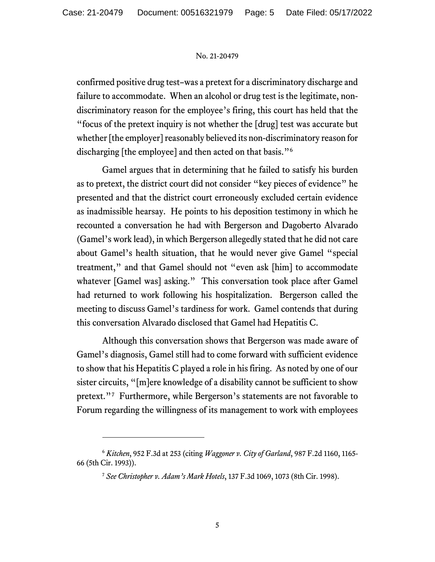confirmed positive drug test–was a pretext for a discriminatory discharge and failure to accommodate. When an alcohol or drug test is the legitimate, nondiscriminatory reason for the employee's firing, this court has held that the "focus of the pretext inquiry is not whether the [drug] test was accurate but whether [the employer] reasonably believed its non-discriminatory reason for discharging [the employee] and then acted on that basis."<sup>[6](#page-4-0)</sup>

Gamel argues that in determining that he failed to satisfy his burden as to pretext, the district court did not consider "key pieces of evidence" he presented and that the district court erroneously excluded certain evidence as inadmissible hearsay. He points to his deposition testimony in which he recounted a conversation he had with Bergerson and Dagoberto Alvarado (Gamel's work lead), in which Bergerson allegedly stated that he did not care about Gamel's health situation, that he would never give Gamel "special treatment," and that Gamel should not "even ask [him] to accommodate whatever [Gamel was] asking." This conversation took place after Gamel had returned to work following his hospitalization. Bergerson called the meeting to discuss Gamel's tardiness for work. Gamel contends that during this conversation Alvarado disclosed that Gamel had Hepatitis C.

Although this conversation shows that Bergerson was made aware of Gamel's diagnosis, Gamel still had to come forward with sufficient evidence to show that his Hepatitis C played a role in his firing. As noted by one of our sister circuits, "[m]ere knowledge of a disability cannot be sufficient to show pretext."[7](#page-4-1) Furthermore, while Bergerson's statements are not favorable to Forum regarding the willingness of its management to work with employees

<span id="page-4-1"></span><span id="page-4-0"></span><sup>6</sup> *Kitchen*, 952 F.3d at 253 (citing *Waggoner v. City of Garland*, 987 F.2d 1160, 1165- 66 (5th Cir. 1993)).

<sup>7</sup> *See Christopher v. Adam's Mark Hotels*, 137 F.3d 1069, 1073 (8th Cir. 1998).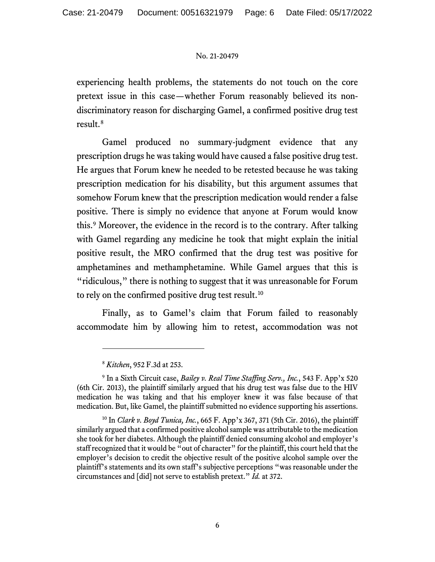experiencing health problems, the statements do not touch on the core pretext issue in this case—whether Forum reasonably believed its nondiscriminatory reason for discharging Gamel, a confirmed positive drug test result. [8](#page-5-0)

Gamel produced no summary-judgment evidence that any prescription drugs he was taking would have caused a false positive drug test. He argues that Forum knew he needed to be retested because he was taking prescription medication for his disability, but this argument assumes that somehow Forum knew that the prescription medication would render a false positive. There is simply no evidence that anyone at Forum would know this.[9](#page-5-1) Moreover, the evidence in the record is to the contrary. After talking with Gamel regarding any medicine he took that might explain the initial positive result, the MRO confirmed that the drug test was positive for amphetamines and methamphetamine. While Gamel argues that this is "ridiculous," there is nothing to suggest that it was unreasonable for Forum to rely on the confirmed positive drug test result.<sup>[10](#page-5-2)</sup>

Finally, as to Gamel's claim that Forum failed to reasonably accommodate him by allowing him to retest, accommodation was not

<sup>8</sup> *Kitchen*, 952 F.3d at 253.

<span id="page-5-1"></span><span id="page-5-0"></span><sup>9</sup> In a Sixth Circuit case, *Bailey v. Real Time Staffing Serv., Inc.*, 543 F. App'x 520 (6th Cir. 2013), the plaintiff similarly argued that his drug test was false due to the HIV medication he was taking and that his employer knew it was false because of that medication. But, like Gamel, the plaintiff submitted no evidence supporting his assertions.

<span id="page-5-2"></span><sup>10</sup> In *Clark v. Boyd Tunica, Inc.*, 665 F. App'x 367, 371 (5th Cir. 2016), the plaintiff similarly argued that a confirmed positive alcohol sample was attributable to the medication she took for her diabetes. Although the plaintiff denied consuming alcohol and employer's staff recognized that it would be "out of character" for the plaintiff, this court held that the employer's decision to credit the objective result of the positive alcohol sample over the plaintiff's statements and its own staff's subjective perceptions "was reasonable under the circumstances and [did] not serve to establish pretext." *Id.* at 372.